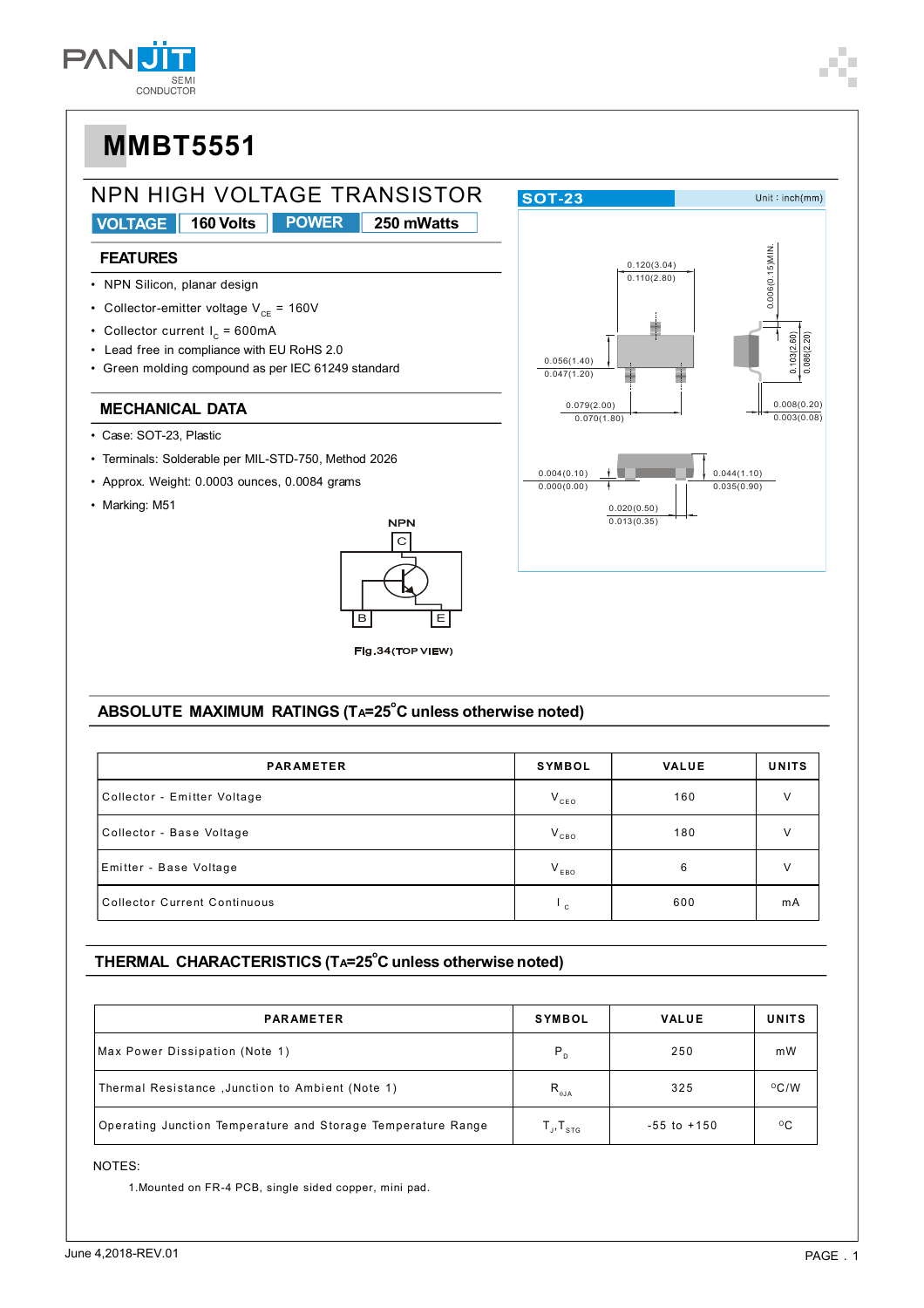



#### ABSOLUTE MAXIMUM RATINGS (TA=25°C unless otherwise noted)

| <b>PARAMETER</b>                    | <b>SYMBOL</b> | <b>VALUE</b> | <b>UNITS</b> |
|-------------------------------------|---------------|--------------|--------------|
| Collector - Emitter Voltage         | $V_{ceo}$     | 160          | $\vee$       |
| Collector - Base Voltage            | $V_{CBO}$     | 180          | v            |
| Emitter - Base Voltage              | $V_{EBO}$     | 6            | $\vee$       |
| <b>Collector Current Continuous</b> | ⊑ ∙           | 600          | mA           |

#### THERMAL CHARACTERISTICS (TA=25°C unless otherwise noted)

| <b>PARAMETER</b>                                             | <b>SYMBOL</b>                                                                                                                | <b>VALUE</b>    | <b>UNITS</b>  |
|--------------------------------------------------------------|------------------------------------------------------------------------------------------------------------------------------|-----------------|---------------|
| Max Power Dissipation (Note 1)                               | $P_{D}$                                                                                                                      | 250             | mW            |
| Thermal Resistance, Junction to Ambient (Note 1)             | $\mathsf{R}_{_{\sf 0JA}}$                                                                                                    | 325             | $\rm ^{O}C/W$ |
| Operating Junction Temperature and Storage Temperature Range | $\mathsf{T}_{\scriptscriptstyle \perp\hspace{-1pt}\shortmid},\mathsf{T}_{\scriptscriptstyle \mathsf{S}\mathsf{T}\mathsf{G}}$ | $-55$ to $+150$ | $^{\circ}$ C  |

NOTES:

1. Mounted on FR-4 PCB, single sided copper, mini pad.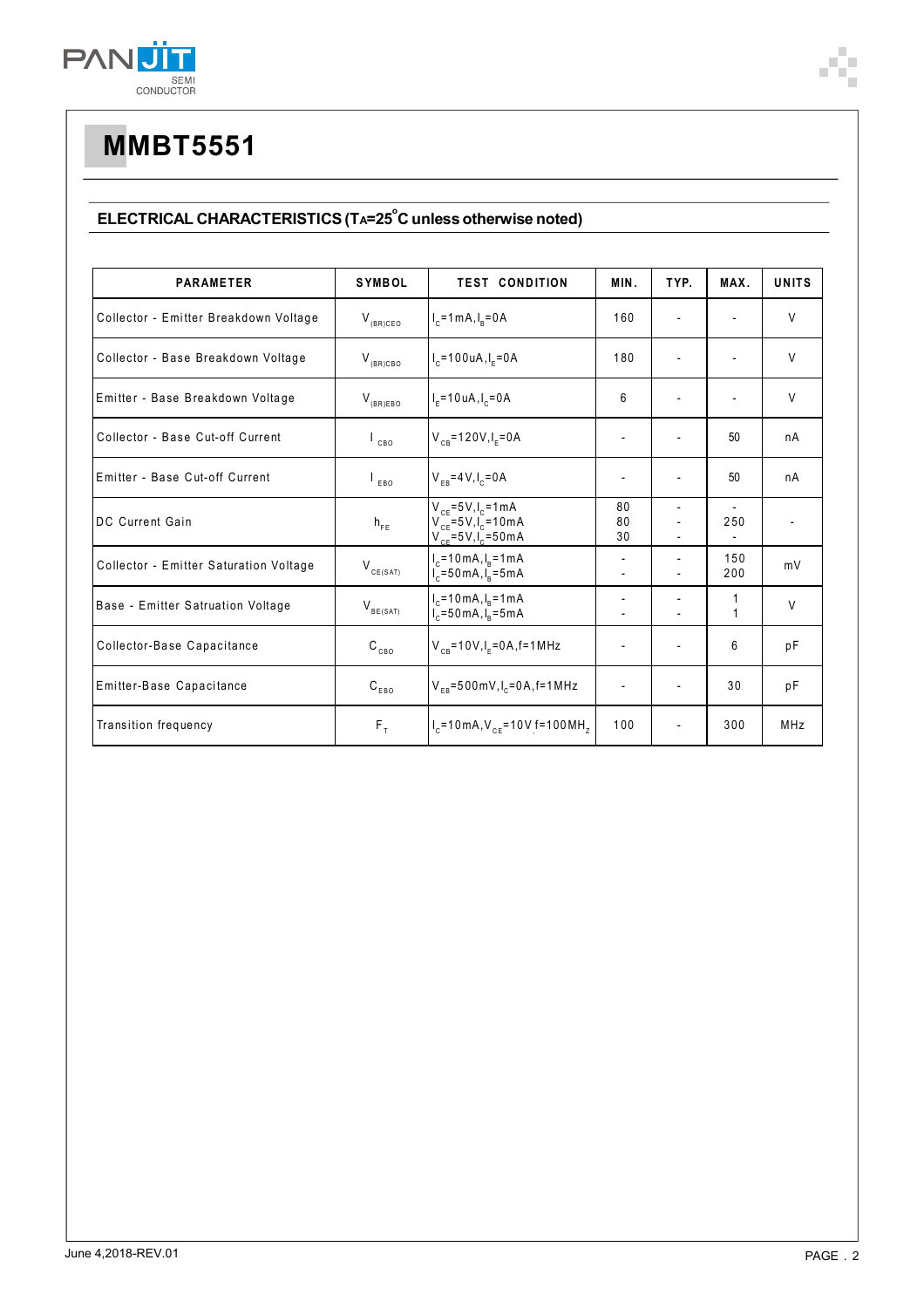

### ELECTRICAL CHARACTERISTICS (TA=25<sup>°</sup>C unless otherwise noted)

| <b>PARAMETER</b>                       | <b>SYMBOL</b>             | <b>TEST CONDITION</b>                                                                   | MIN.                     | TYP.                     | MAX.                     | <b>UNITS</b>             |
|----------------------------------------|---------------------------|-----------------------------------------------------------------------------------------|--------------------------|--------------------------|--------------------------|--------------------------|
| Collector - Emitter Breakdown Voltage  | $V_{(BR)CEO}$             | $I_c = 1 mA, I_R = 0 A$                                                                 | 160                      |                          |                          | V                        |
| Collector - Base Breakdown Voltage     | $V_{_{(BR)CBO}}$          | $I_c = 100 uA, I_F = 0A$                                                                | 180                      |                          |                          | $\vee$                   |
| Emitter - Base Breakdown Voltage       | $V_{(BR)EBO}$             | $I_{F} = 10 \text{ uA}, I_{C} = 0 \text{ A}$                                            | 6                        |                          | $\overline{\phantom{0}}$ | V                        |
| Collector - Base Cut-off Current       | CBO                       | $V_{CB} = 120V, I_F = 0A$                                                               | $\overline{\phantom{a}}$ |                          | 50                       | nA                       |
| Emitter - Base Cut-off Current         | EBO                       | $V_{FB} = 4 V, I_c = 0 A$                                                               | $\overline{\phantom{a}}$ |                          | 50                       | nA                       |
| DC Current Gain                        | $h_{FE}$                  | $V_{CF} = 5V I_{C} = 1 mA$<br>$V_{CF} = 5V I_{C} = 10mA$<br>$V_{CF} = 5V, I_{C} = 50mA$ | 80<br>80<br>30           |                          | 250                      | $\overline{\phantom{a}}$ |
| Collector - Emitter Saturation Voltage | $V_{CE(SAT)}$             | $I_c = 10 \text{ mA}, I_R = 1 \text{ mA}$<br>$I_c = 50 \text{ mA}, I_p = 5 \text{ mA}$  | $\overline{\phantom{a}}$ |                          | 150<br>200               | mV                       |
| Base - Emitter Satruation Voltage      | $V_{BE(SAT)}$             | $I_c = 10 \text{ mA}, I_R = 1 \text{ mA}$<br>$I_c = 50 \text{ mA}, I_R = 5 \text{ mA}$  | $\overline{\phantom{a}}$ |                          | 1<br>$\mathbf{1}$        | V                        |
| Collector-Base Capacitance             | $\mathtt{C_{_{CBO}}}$     | $V_{CB} = 10V, I_E = 0A, f = 1MHz$                                                      |                          |                          | 6                        | pF                       |
| Emitter-Base Capacitance               | $\texttt{C}_\texttt{EBO}$ | $V_{FB} = 500$ mV, $I_c = 0$ A, f = 1 MHz                                               |                          |                          | 30                       | рF                       |
| Transition frequency                   | $F_T$                     | $I_c$ =10 mA, $V_{cF}$ =10V f=100 MH <sub>z</sub>                                       | 100                      | $\overline{\phantom{a}}$ | 300                      | MHz                      |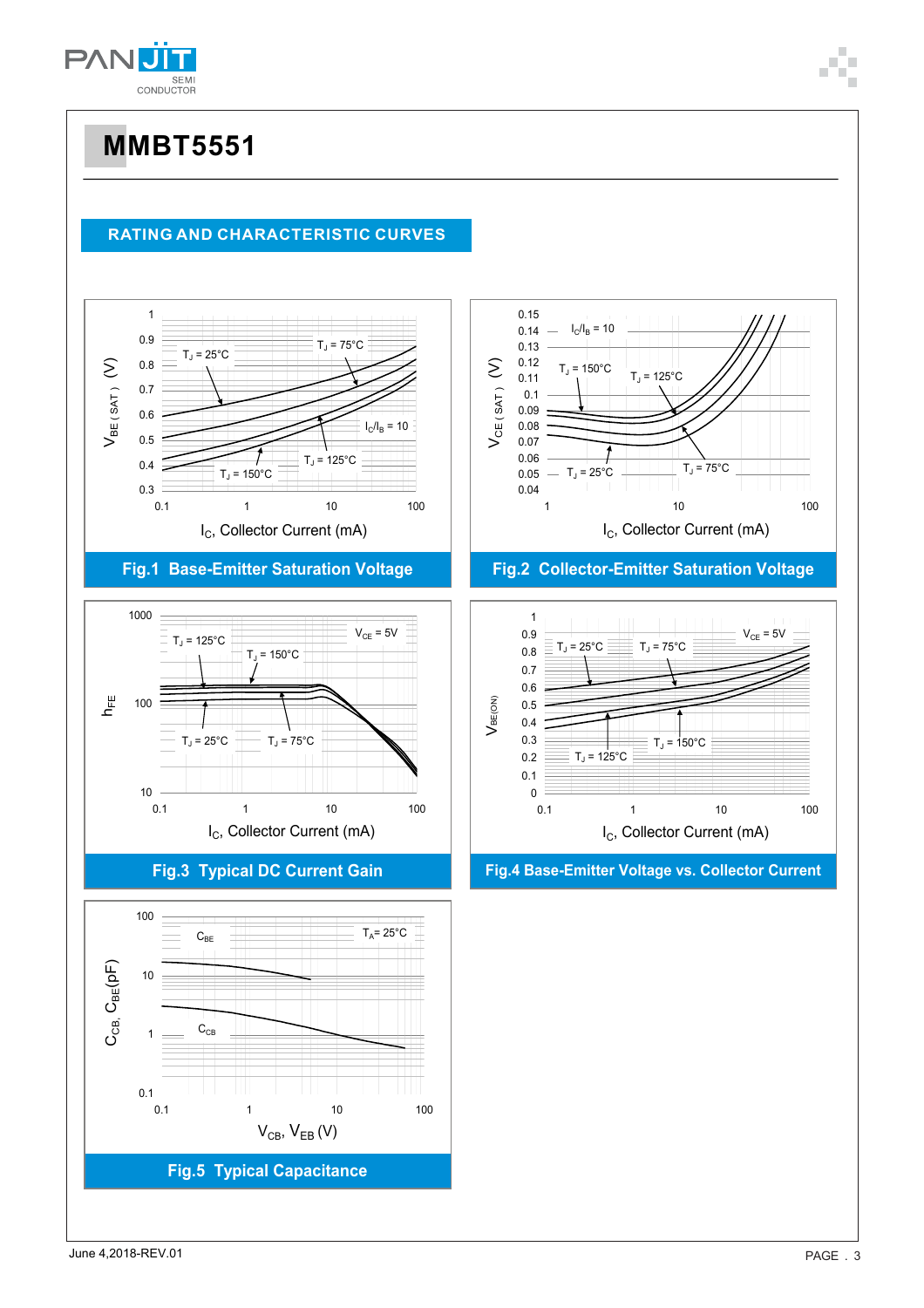

### **RATING AND CHARACTERISTIC CURVES**



### **Fig.1 Base-Emitter Saturation Voltage**



**Fig.3 Typical DC Current Gain**





#### **Fig.2 Collector-Emitter Saturation Voltage**



**Fig.4 Base-Emitter Voltage vs. Collector Current**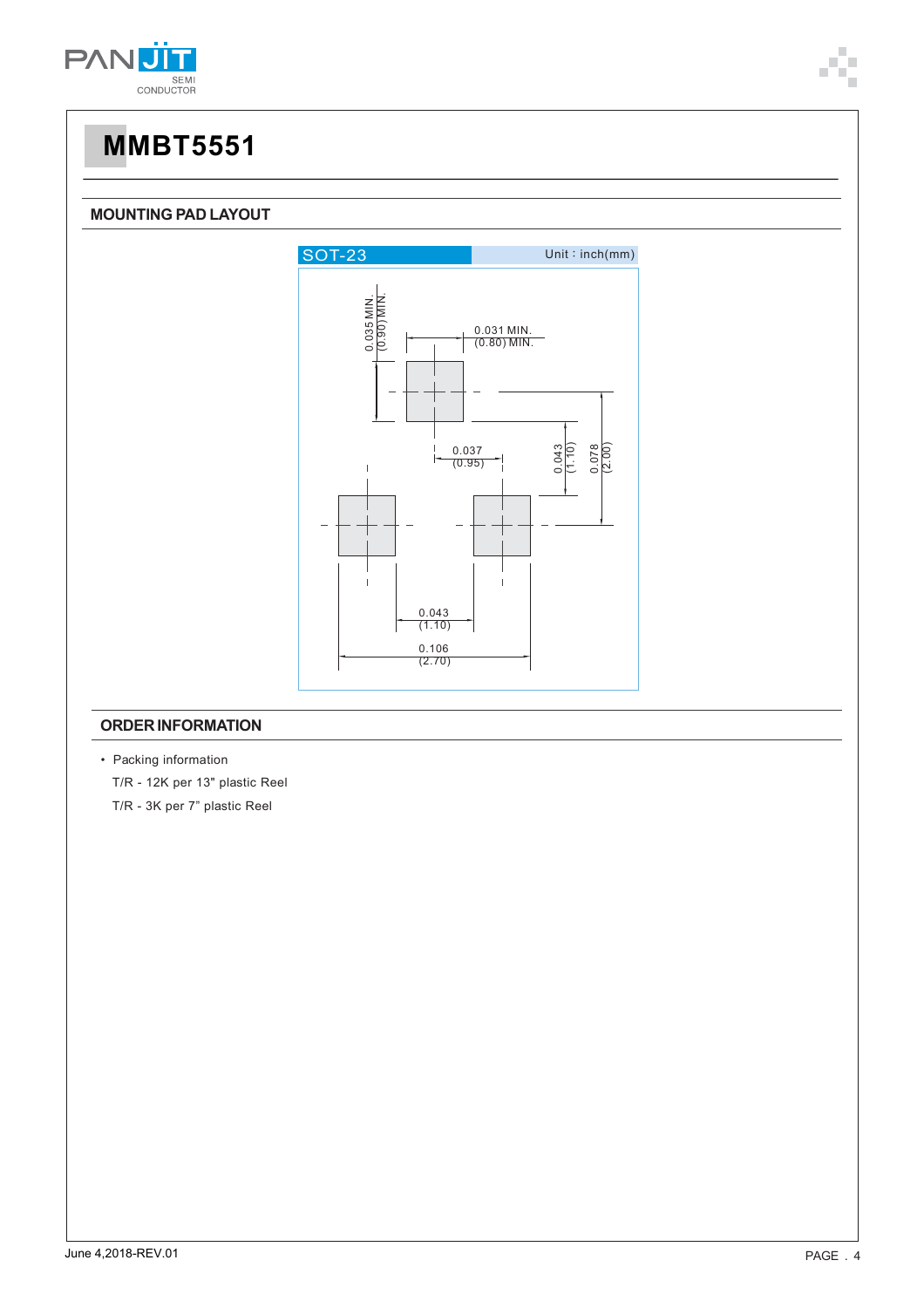



#### **ORDER INFORMATION**

• Packing information T/R - 12K per 13" plastic Reel T/R - 3K per 7" plastic Reel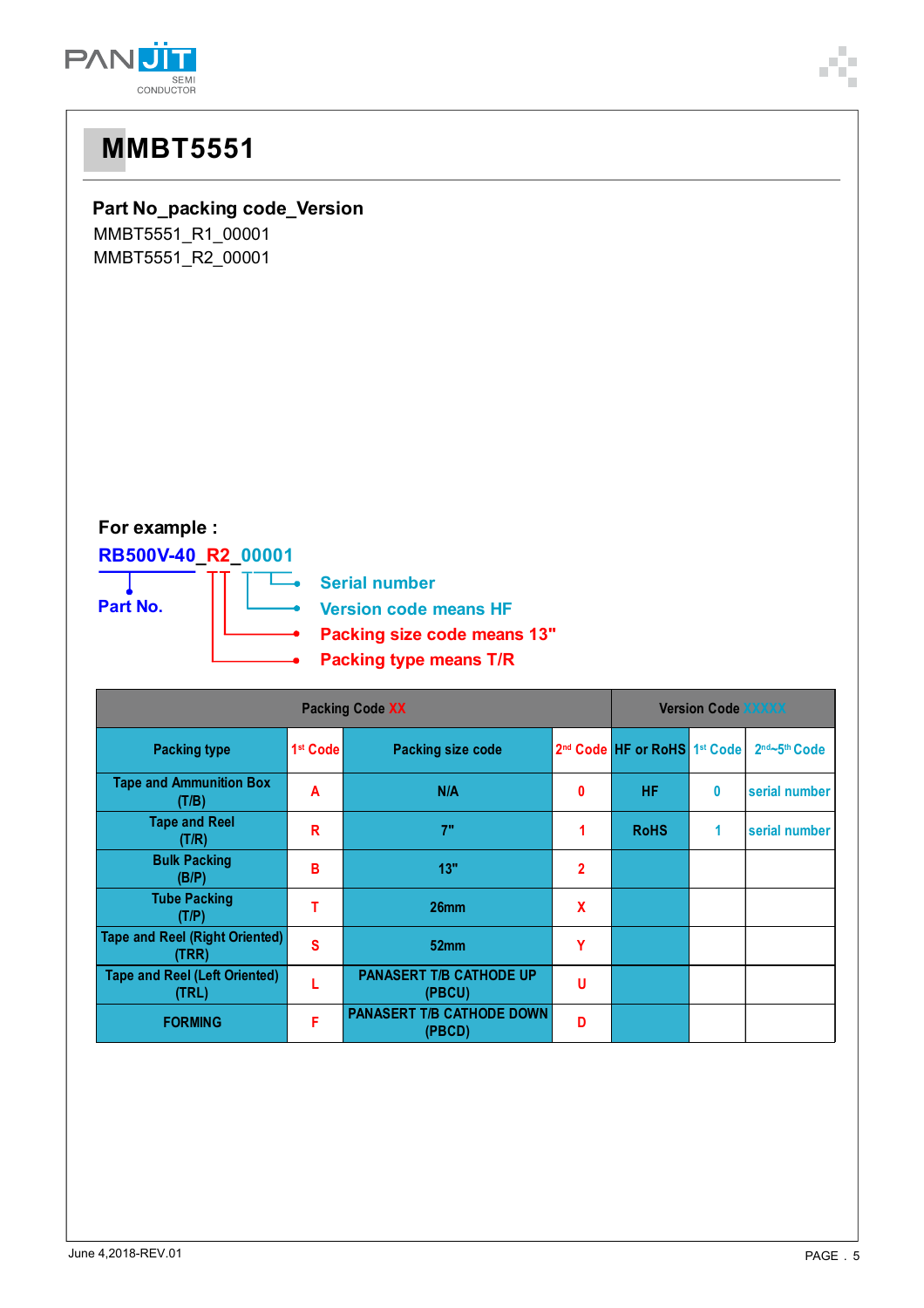

| <b>MMBT5551</b>                                                                                                                                                         |  |
|-------------------------------------------------------------------------------------------------------------------------------------------------------------------------|--|
| Part No_packing code_Version<br>MMBT5551_R1_00001<br>MMBT5551_R2_00001                                                                                                  |  |
| For example :<br>RB500V-40_R2_00001<br><b>Serial number</b><br>Part No.<br><b>Version code means HF</b><br>Packing size code means 13"<br><b>Packing type means T/R</b> |  |

| <b>Packing Code XX</b>                         |                      |                                            | <b>Version Code XXXXX</b> |                                                      |   |                             |
|------------------------------------------------|----------------------|--------------------------------------------|---------------------------|------------------------------------------------------|---|-----------------------------|
| <b>Packing type</b>                            | 1 <sup>st</sup> Code | <b>Packing size code</b>                   |                           | 2 <sup>nd</sup> Code HF or RoHS 1 <sup>st</sup> Code |   | $2nd$ ~5 <sup>th</sup> Code |
| <b>Tape and Ammunition Box</b><br>(T/B)        | A                    | N/A                                        | 0                         | <b>HF</b>                                            | 0 | serial number               |
| <b>Tape and Reel</b><br>(T/R)                  | R                    | 7"                                         | 1.                        | <b>RoHS</b>                                          | 1 | serial number               |
| <b>Bulk Packing</b><br>(B/P)                   | В                    | 13"                                        | $\mathbf{2}$              |                                                      |   |                             |
| <b>Tube Packing</b><br>(T/P)                   | т                    | 26 <sub>mm</sub>                           | $\boldsymbol{\mathsf{x}}$ |                                                      |   |                             |
| <b>Tape and Reel (Right Oriented)</b><br>(TRR) | S                    | 52 <sub>mm</sub>                           | Υ                         |                                                      |   |                             |
| <b>Tape and Reel (Left Oriented)</b><br>(TRL)  |                      | <b>PANASERT T/B CATHODE UP</b><br>(PBCU)   | U                         |                                                      |   |                             |
| <b>FORMING</b>                                 | F                    | <b>PANASERT T/B CATHODE DOWN</b><br>(PBCD) | D                         |                                                      |   |                             |